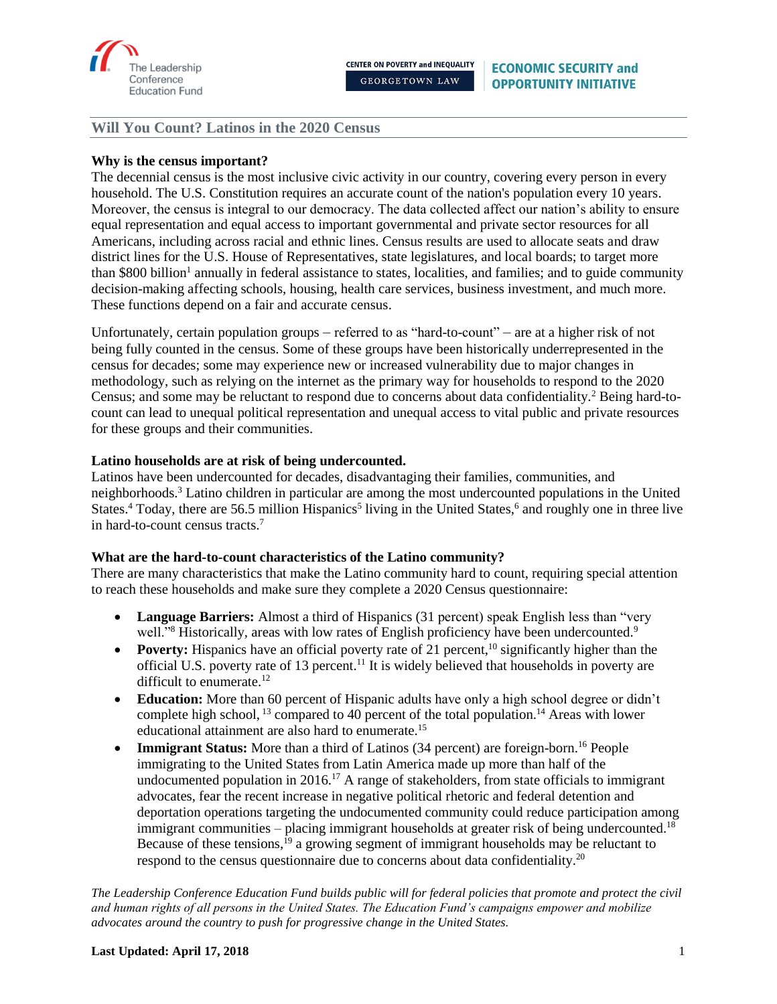

## **Why is the census important?**

The decennial census is the most inclusive civic activity in our country, covering every person in every household. The U.S. Constitution requires an accurate count of the nation's population every 10 years. Moreover, the census is integral to our democracy. The data collected affect our nation's ability to ensure equal representation and equal access to important governmental and private sector resources for all Americans, including across racial and ethnic lines. Census results are used to allocate seats and draw district lines for the U.S. House of Representatives, state legislatures, and local boards; to target more than \$800 billion<sup>1</sup> annually in federal assistance to states, localities, and families; and to guide community decision-making affecting schools, housing, health care services, business investment, and much more. These functions depend on a fair and accurate census.

Unfortunately, certain population groups – referred to as "hard-to-count" – are at a higher risk of not being fully counted in the census. Some of these groups have been historically underrepresented in the census for decades; some may experience new or increased vulnerability due to major changes in methodology, such as relying on the internet as the primary way for households to respond to the 2020 Census; and some may be reluctant to respond due to concerns about data confidentiality.<sup>2</sup> Being hard-tocount can lead to unequal political representation and unequal access to vital public and private resources for these groups and their communities.

### **Latino households are at risk of being undercounted.**

Latinos have been undercounted for decades, disadvantaging their families, communities, and neighborhoods.<sup>3</sup> Latino children in particular are among the most undercounted populations in the United States.<sup>4</sup> Today, there are 56.5 million Hispanics<sup>5</sup> living in the United States,<sup>6</sup> and roughly one in three live in hard-to-count census tracts.<sup>7</sup>

#### **What are the hard-to-count characteristics of the Latino community?**

There are many characteristics that make the Latino community hard to count, requiring special attention to reach these households and make sure they complete a 2020 Census questionnaire:

- **Language Barriers:** Almost a third of Hispanics (31 percent) speak English less than "very well."<sup>8</sup> Historically, areas with low rates of English proficiency have been undercounted.<sup>9</sup>
- **Poverty:** Hispanics have an official poverty rate of 21 percent,  $\frac{10}{10}$  significantly higher than the official U.S. poverty rate of 13 percent.<sup>11</sup> It is widely believed that households in poverty are difficult to enumerate. $^{12}$
- **Education:** More than 60 percent of Hispanic adults have only a high school degree or didn't complete high school, <sup>13</sup> compared to 40 percent of the total population.<sup>14</sup> Areas with lower educational attainment are also hard to enumerate.<sup>15</sup>
- **Immigrant Status:** More than a third of Latinos (34 percent) are foreign-born.<sup>16</sup> People immigrating to the United States from Latin America made up more than half of the undocumented population in 2016.<sup>17</sup> A range of stakeholders, from state officials to immigrant advocates, fear the recent increase in negative political rhetoric and federal detention and deportation operations targeting the undocumented community could reduce participation among immigrant communities – placing immigrant households at greater risk of being undercounted.<sup>18</sup> Because of these tensions,<sup>19</sup> a growing segment of immigrant households may be reluctant to respond to the census questionnaire due to concerns about data confidentiality.<sup>20</sup>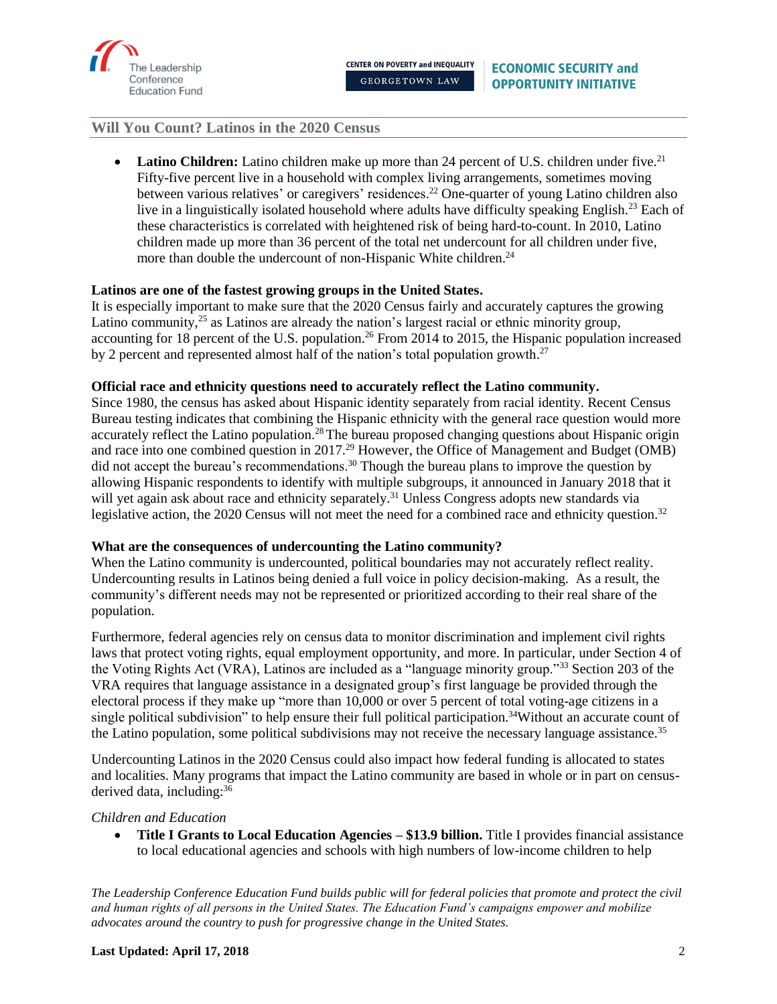

**Latino Children:** Latino children make up more than 24 percent of U.S. children under five.<sup>21</sup> Fifty-five percent live in a household with complex living arrangements, sometimes moving between various relatives' or caregivers' residences.<sup>22</sup> One-quarter of young Latino children also live in a linguistically isolated household where adults have difficulty speaking English.<sup>23</sup> Each of these characteristics is correlated with heightened risk of being hard-to-count. In 2010, Latino children made up more than 36 percent of the total net undercount for all children under five, more than double the undercount of non-Hispanic White children.<sup>24</sup>

# **Latinos are one of the fastest growing groups in the United States.**

It is especially important to make sure that the 2020 Census fairly and accurately captures the growing Latino community,<sup>25</sup> as Latinos are already the nation's largest racial or ethnic minority group, accounting for 18 percent of the U.S. population.<sup>26</sup> From 2014 to 2015, the Hispanic population increased by 2 percent and represented almost half of the nation's total population growth.<sup>27</sup>

## **Official race and ethnicity questions need to accurately reflect the Latino community.**

Since 1980, the census has asked about Hispanic identity separately from racial identity. Recent Census Bureau testing indicates that combining the Hispanic ethnicity with the general race question would more accurately reflect the Latino population.<sup>28</sup> The bureau proposed changing questions about Hispanic origin and race into one combined question in 2017.<sup>29</sup> However, the Office of Management and Budget (OMB) did not accept the bureau's recommendations.<sup>30</sup> Though the bureau plans to improve the question by allowing Hispanic respondents to identify with multiple subgroups, it announced in January 2018 that it will yet again ask about race and ethnicity separately.<sup>31</sup> Unless Congress adopts new standards via legislative action, the 2020 Census will not meet the need for a combined race and ethnicity question.<sup>32</sup>

#### **What are the consequences of undercounting the Latino community?**

When the Latino community is undercounted, political boundaries may not accurately reflect reality. Undercounting results in Latinos being denied a full voice in policy decision-making. As a result, the community's different needs may not be represented or prioritized according to their real share of the population.

Furthermore, federal agencies rely on census data to monitor discrimination and implement civil rights laws that protect voting rights, equal employment opportunity, and more. In particular, under Section 4 of the Voting Rights Act (VRA), Latinos are included as a "language minority group."<sup>33</sup> Section 203 of the VRA requires that language assistance in a designated group's first language be provided through the electoral process if they make up "more than 10,000 or over 5 percent of total voting-age citizens in a single political subdivision" to help ensure their full political participation.<sup>34</sup>Without an accurate count of the Latino population, some political subdivisions may not receive the necessary language assistance.<sup>35</sup>

Undercounting Latinos in the 2020 Census could also impact how federal funding is allocated to states and localities. Many programs that impact the Latino community are based in whole or in part on censusderived data, including: 36

#### *Children and Education*

• **Title I Grants to Local Education Agencies – \$13.9 billion.** Title I provides financial assistance to local educational agencies and schools with high numbers of low-income children to help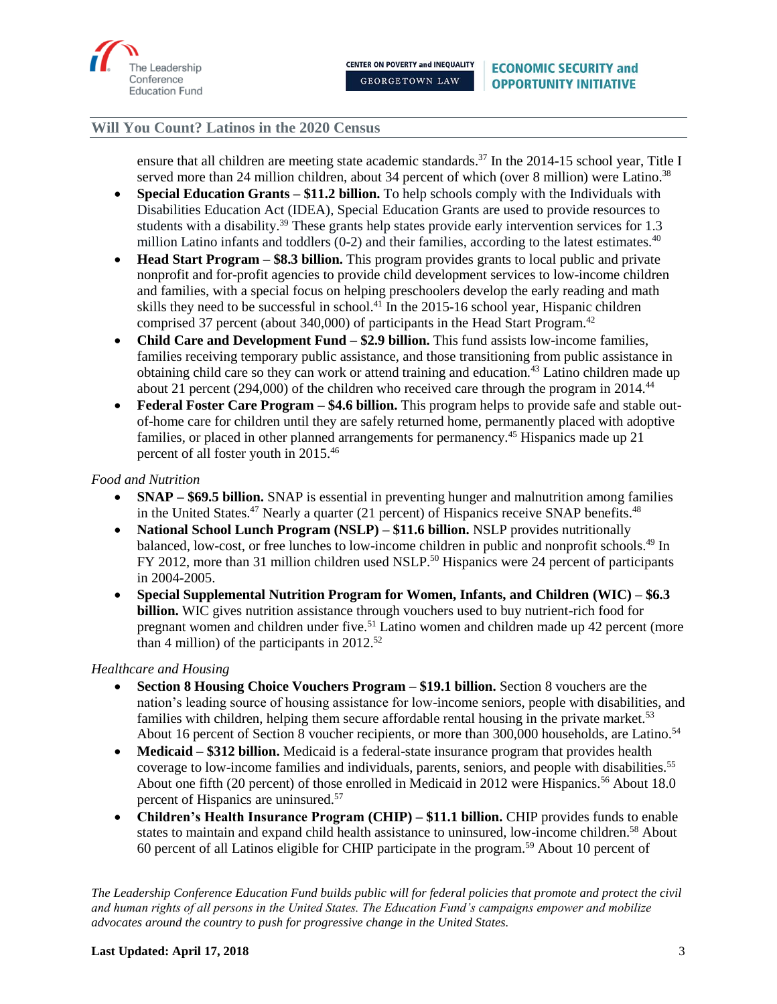

ensure that all children are meeting state academic standards.<sup>37</sup> In the 2014-15 school year, Title I served more than 24 million children, about 34 percent of which (over 8 million) were Latino.<sup>38</sup>

- **Special Education Grants – \$11.2 billion.** To help schools comply with the Individuals with Disabilities Education Act (IDEA), Special Education Grants are used to provide resources to students with a disability.<sup>39</sup> These grants help states provide early intervention services for 1.3 million Latino infants and toddlers  $(0-2)$  and their families, according to the latest estimates.<sup>40</sup>
- **Head Start Program – \$8.3 billion.** This program provides grants to local public and private nonprofit and for-profit agencies to provide child development services to low-income children and families, with a special focus on helping preschoolers develop the early reading and math skills they need to be successful in school.<sup>41</sup> In the 2015-16 school year, Hispanic children comprised 37 percent (about 340,000) of participants in the Head Start Program. 42
- **Child Care and Development Fund \$2.9 billion.** This fund assists low-income families, families receiving temporary public assistance, and those transitioning from public assistance in obtaining child care so they can work or attend training and education.<sup>43</sup> Latino children made up about 21 percent (294,000) of the children who received care through the program in 2014.<sup>44</sup>
- **Federal Foster Care Program – \$4.6 billion.** This program helps to provide safe and stable outof-home care for children until they are safely returned home, permanently placed with adoptive families, or placed in other planned arrangements for permanency.<sup>45</sup> Hispanics made up 21 percent of all foster youth in 2015.<sup>46</sup>

# *Food and Nutrition*

- **SNAP – \$69.5 billion.** SNAP is essential in preventing hunger and malnutrition among families in the United States.<sup>47</sup> Nearly a quarter (21 percent) of Hispanics receive SNAP benefits.<sup>48</sup>
- **National School Lunch Program (NSLP) – \$11.6 billion.** NSLP provides nutritionally balanced, low-cost, or free lunches to low-income children in public and nonprofit schools.<sup>49</sup> In FY 2012, more than 31 million children used NSLP.<sup>50</sup> Hispanics were 24 percent of participants in 2004-2005.
- **Special Supplemental Nutrition Program for Women, Infants, and Children (WIC) – \$6.3 billion.** WIC gives nutrition assistance through vouchers used to buy nutrient-rich food for pregnant women and children under five.<sup>51</sup> Latino women and children made up 42 percent (more than 4 million) of the participants in  $2012^{52}$

# *Healthcare and Housing*

- **Section 8 Housing Choice Vouchers Program – \$19.1 billion.** Section 8 vouchers are the nation's leading source of housing assistance for low-income seniors, people with disabilities, and families with children, helping them secure affordable rental housing in the private market.<sup>53</sup> About 16 percent of Section 8 voucher recipients, or more than 300,000 households, are Latino.<sup>54</sup>
- **Medicaid \$312 billion.** Medicaid is a federal-state insurance program that provides health coverage to low-income families and individuals, parents, seniors, and people with disabilities.<sup>55</sup> About one fifth (20 percent) of those enrolled in Medicaid in 2012 were Hispanics.<sup>56</sup> About 18.0 percent of Hispanics are uninsured.<sup>57</sup>
- **Children's Health Insurance Program (CHIP) – \$11.1 billion.** CHIP provides funds to enable states to maintain and expand child health assistance to uninsured, low-income children.<sup>58</sup> About 60 percent of all Latinos eligible for CHIP participate in the program. <sup>59</sup> About 10 percent of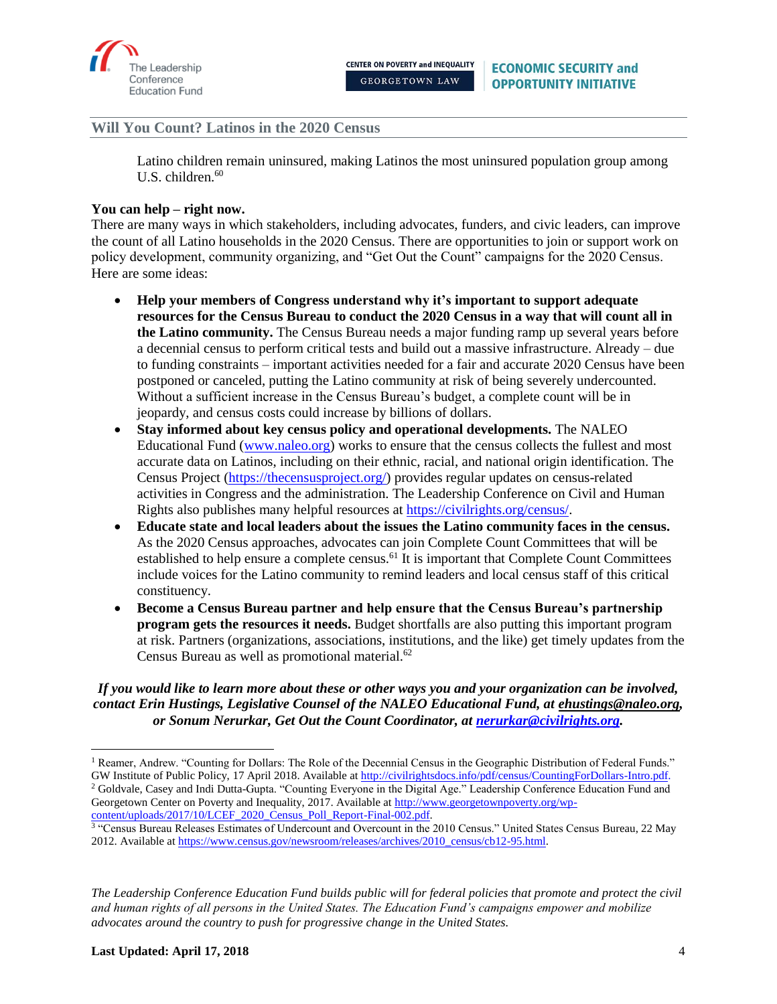

Latino children remain uninsured, making Latinos the most uninsured population group among U.S. children.<sup>60</sup>

## **You can help – right now.**

There are many ways in which stakeholders, including advocates, funders, and civic leaders, can improve the count of all Latino households in the 2020 Census. There are opportunities to join or support work on policy development, community organizing, and "Get Out the Count" campaigns for the 2020 Census. Here are some ideas:

- **Help your members of Congress understand why it's important to support adequate resources for the Census Bureau to conduct the 2020 Census in a way that will count all in the Latino community.** The Census Bureau needs a major funding ramp up several years before a decennial census to perform critical tests and build out a massive infrastructure. Already – due to funding constraints – important activities needed for a fair and accurate 2020 Census have been postponed or canceled, putting the Latino community at risk of being severely undercounted. Without a sufficient increase in the Census Bureau's budget, a complete count will be in jeopardy, and census costs could increase by billions of dollars.
- **Stay informed about key census policy and operational developments.** The NALEO Educational Fund [\(www.naleo.org\)](http://www.naleo.org/) works to ensure that the census collects the fullest and most accurate data on Latinos, including on their ethnic, racial, and national origin identification. The Census Project [\(https://thecensusproject.org/\)](https://thecensusproject.org/) provides regular updates on census-related activities in Congress and the administration. The Leadership Conference on Civil and Human Rights also publishes many helpful resources at [https://civilrights.org/census/.](https://civilrights.org/census/)
- **Educate state and local leaders about the issues the Latino community faces in the census.** As the 2020 Census approaches, advocates can join Complete Count Committees that will be established to help ensure a complete census.<sup>61</sup> It is important that Complete Count Committees include voices for the Latino community to remind leaders and local census staff of this critical constituency.
- **Become a Census Bureau partner and help ensure that the Census Bureau's partnership program gets the resources it needs.** Budget shortfalls are also putting this important program at risk. Partners (organizations, associations, institutions, and the like) get timely updates from the Census Bureau as well as promotional material.<sup>62</sup>

*If you would like to learn more about these or other ways you and your organization can be involved, contact Erin Hustings, Legislative Counsel of the NALEO Educational Fund, at [ehustings@naleo.org,](mailto:ehustings@naleo.org) or Sonum Nerurkar, Get Out the Count Coordinator, at [nerurkar@civilrights.org.](mailto:nerurkar@civilrights.org)* 

*The Leadership Conference Education Fund builds public will for federal policies that promote and protect the civil and human rights of all persons in the United States. The Education Fund's campaigns empower and mobilize advocates around the country to push for progressive change in the United States.* 

l

<sup>&</sup>lt;sup>1</sup> Reamer, Andrew. "Counting for Dollars: The Role of the Decennial Census in the Geographic Distribution of Federal Funds." GW Institute of Public Policy, 17 April 2018. Available a[t http://civilrightsdocs.info/pdf/census/CountingForDollars-Intro.pdf.](http://civilrightsdocs.info/pdf/census/CountingForDollars-Intro.pdf) <sup>2</sup> Goldvale, Casey and Indi Dutta-Gupta. "Counting Everyone in the Digital Age." Leadership Conference Education Fund and Georgetown Center on Poverty and Inequality, 2017. Available at [http://www.georgetownpoverty.org/wp](http://www.georgetownpoverty.org/wp-content/uploads/2017/10/LCEF_2020_Census_Poll_Report-Final-002.pdf)[content/uploads/2017/10/LCEF\\_2020\\_Census\\_Poll\\_Report-Final-002.pdf.](http://www.georgetownpoverty.org/wp-content/uploads/2017/10/LCEF_2020_Census_Poll_Report-Final-002.pdf)

<sup>&</sup>lt;sup>3</sup> "Census Bureau Releases Estimates of Undercount and Overcount in the 2010 Census." United States Census Bureau, 22 May 2012. Available a[t https://www.census.gov/newsroom/releases/archives/2010\\_census/cb12-95.html.](https://www.census.gov/newsroom/releases/archives/2010_census/cb12-95.html)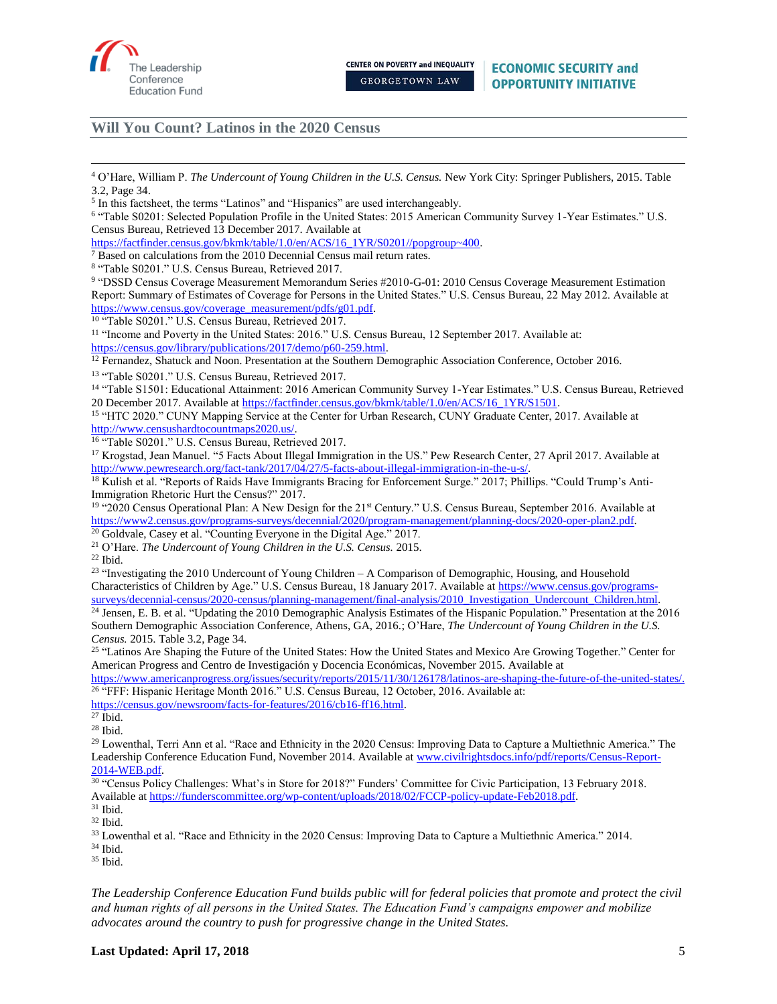

<sup>7</sup> Based on calculations from the 2010 Decennial Census mail return rates.

8 "Table S0201." U.S. Census Bureau, Retrieved 2017.

<sup>9</sup> "DSSD Census Coverage Measurement Memorandum Series #2010-G-01: 2010 Census Coverage Measurement Estimation Report: Summary of Estimates of Coverage for Persons in the United States." U.S. Census Bureau, 22 May 2012. Available at [https://www.census.gov/coverage\\_measurement/pdfs/g01.pdf.](https://www.census.gov/coverage_measurement/pdfs/g01.pdf)

<sup>10</sup> "Table S0201." U.S. Census Bureau, Retrieved 2017.

<sup>11</sup> "Income and Poverty in the United States: 2016." U.S. Census Bureau, 12 September 2017. Available at: [https://census.gov/library/publications/2017/demo/p60-259.html.](https://census.gov/library/publications/2017/demo/p60-259.html)

<sup>12</sup> Fernandez, Shatuck and Noon. Presentation at the Southern Demographic Association Conference, October 2016.

<sup>13</sup> "Table S0201." U.S. Census Bureau, Retrieved 2017.

<sup>14</sup> "Table S1501: Educational Attainment: 2016 American Community Survey 1-Year Estimates." U.S. Census Bureau, Retrieved 20 December 2017. Available at [https://factfinder.census.gov/bkmk/table/1.0/en/ACS/16\\_1YR/S1501.](https://factfinder.census.gov/bkmk/table/1.0/en/ACS/16_1YR/S1501)

<sup>15</sup> "HTC 2020." CUNY Mapping Service at the Center for Urban Research, CUNY Graduate Center, 2017. Available at [http://www.censushardtocountmaps2020.us/.](http://www.censushardtocountmaps2020.us/)

<sup>16</sup> "Table S0201." U.S. Census Bureau, Retrieved 2017.

<sup>17</sup> Krogstad, Jean Manuel. "5 Facts About Illegal Immigration in the US." Pew Research Center, 27 April 2017. Available at [http://www.pewresearch.org/fact-tank/2017/04/27/5-facts-about-illegal-immigration-in-the-u-s/.](http://www.pewresearch.org/fact-tank/2017/04/27/5-facts-about-illegal-immigration-in-the-u-s/)

<sup>18</sup> Kulish et al. "Reports of Raids Have Immigrants Bracing for Enforcement Surge." 2017; Phillips. "Could Trump's Anti-Immigration Rhetoric Hurt the Census?" 2017.

<sup>19</sup> "2020 Census Operational Plan: A New Design for the 21<sup>st</sup> Century." U.S. Census Bureau, September 2016. Available at [https://www2.census.gov/programs-surveys/decennial/2020/program-management/planning-docs/2020-oper-plan2.pdf.](https://www2.census.gov/programs-surveys/decennial/2020/program-management/planning-docs/2020-oper-plan2.pdf)

<sup>20</sup> Goldvale, Casey et al. "Counting Everyone in the Digital Age." 2017.

<sup>21</sup> O'Hare. *The Undercount of Young Children in the U.S. Census.* 2015.

 $22$  Ibid.

 $^{23}$  "Investigating the 2010 Undercount of Young Children – A Comparison of Demographic, Housing, and Household Characteristics of Children by Age." U.S. Census Bureau, 18 January 2017. Available at [https://www.census.gov/programs](https://www.census.gov/programs-surveys/decennial-census/2020-census/planning-management/final-analysis/2010_Investigation_Undercount_Children.html)[surveys/decennial-census/2020-census/planning-management/final-analysis/2010\\_Investigation\\_Undercount\\_Children.html.](https://www.census.gov/programs-surveys/decennial-census/2020-census/planning-management/final-analysis/2010_Investigation_Undercount_Children.html)

<sup>24</sup> Jensen, E. B. et al. "Updating the 2010 Demographic Analysis Estimates of the Hispanic Population*.*" Presentation at the 2016 Southern Demographic Association Conference, Athens, GA, 2016.; O'Hare, *The Undercount of Young Children in the U.S. Census.* 2015. Table 3.2, Page 34.

<sup>25 "</sup>Latinos Are Shaping the Future of the United States: How the United States and Mexico Are Growing Together." Center for American Progress and Centro de Investigación y Docencia Económicas, November 2015. Available at

[https://www.americanprogress.org/issues/security/reports/2015/11/30/126178/latinos-are-shaping-the-future-of-the-united-states/.](https://www.americanprogress.org/issues/security/reports/2015/11/30/126178/latinos-are-shaping-the-future-of-the-united-states/) <sup>26</sup> "FFF: Hispanic Heritage Month 2016." U.S. Census Bureau, 12 October, 2016. Available at:

[https://census.gov/newsroom/facts-for-features/2016/cb16-ff16.html.](https://census.gov/newsroom/facts-for-features/2016/cb16-ff16.html)

<sup>29</sup> Lowenthal, Terri Ann et al. "Race and Ethnicity in the 2020 Census: Improving Data to Capture a Multiethnic America." The Leadership Conference Education Fund, November 2014. Available at [www.civilrightsdocs.info/pdf/reports/Census-Report-](http://www.civilrightsdocs.info/pdf/reports/Census-Report-2014-WEB.pdf)[2014-WEB.pdf.](http://www.civilrightsdocs.info/pdf/reports/Census-Report-2014-WEB.pdf)

<sup>30</sup> "Census Policy Challenges: What's in Store for 2018?" Funders' Committee for Civic Participation, 13 February 2018.

Available at [https://funderscommittee.org/wp-content/uploads/2018/02/FCCP-policy-update-Feb2018.pdf.](https://funderscommittee.org/wp-content/uploads/2018/02/FCCP-policy-update-Feb2018.pdf)

<sup>33</sup> Lowenthal et al. "Race and Ethnicity in the 2020 Census: Improving Data to Capture a Multiethnic America." 2014.

<sup>34</sup> Ibid.

<sup>35</sup> Ibid.

 $\overline{\phantom{a}}$ <sup>4</sup> O'Hare, William P. *The Undercount of Young Children in the U.S. Census.* New York City: Springer Publishers, 2015. Table 3.2, Page 34.

<sup>&</sup>lt;sup>5</sup> In this factsheet, the terms "Latinos" and "Hispanics" are used interchangeably.

<sup>6</sup> "Table S0201: Selected Population Profile in the United States: 2015 American Community Survey 1-Year Estimates." U.S. Census Bureau, Retrieved 13 December 2017. Available at

[https://factfinder.census.gov/bkmk/table/1.0/en/ACS/16\\_1YR/S0201//popgroup~400.](https://factfinder.census.gov/bkmk/table/1.0/en/ACS/16_1YR/S0201/popgroup~400)

 $27$  Ibid. <sup>28</sup> Ibid.

 $31$  Ibid.

<sup>32</sup> Ibid.